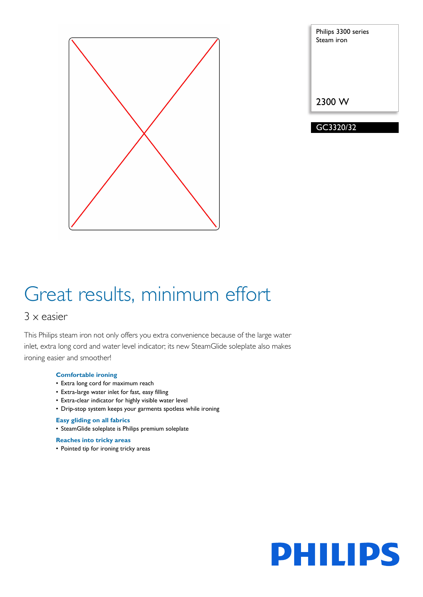

| Philips 3300 series<br>Steam iron |
|-----------------------------------|
|                                   |
|                                   |
| 2300 W                            |
| GC3320/32                         |

# Great results, minimum effort

### 3 x easier

This Philips steam iron not only offers you extra convenience because of the large water inlet, extra long cord and water level indicator; its new SteamGlide soleplate also makes ironing easier and smoother!

#### **Comfortable ironing**

- Extra long cord for maximum reach
- Extra-large water inlet for fast, easy filling
- Extra-clear indicator for highly visible water level
- Drip-stop system keeps your garments spotless while ironing

#### **Easy gliding on all fabrics**

• SteamGlide soleplate is Philips premium soleplate

#### **Reaches into tricky areas**

• Pointed tip for ironing tricky areas